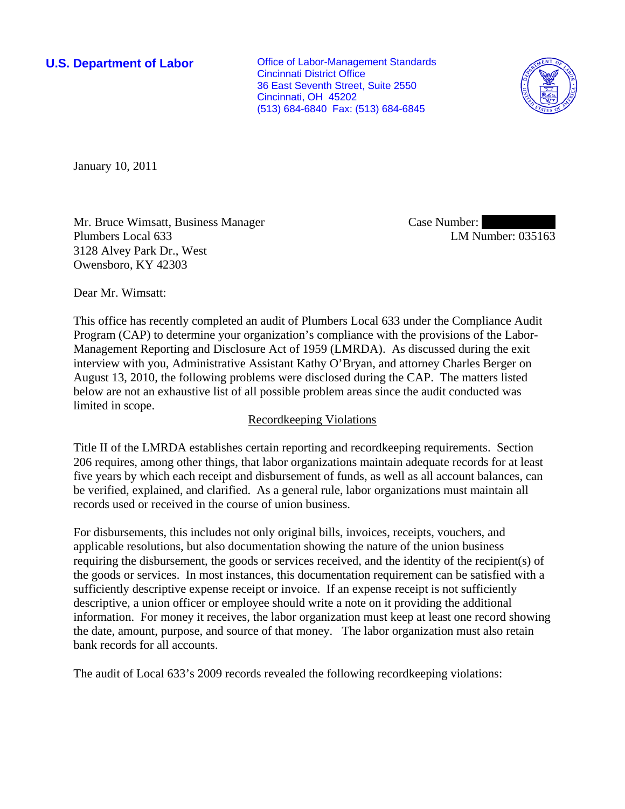**U.S. Department of Labor Conservative Conservative Conservative Conservative Conservative Conservative Conservative Conservative Conservative Conservative Conservative Conservative Conservative Conservative Conservative** Cincinnati District Office 36 East Seventh Street, Suite 2550 Cincinnati, OH 45202 (513) 684-6840 Fax: (513) 684-6845



January 10, 2011

Mr. Bruce Wimsatt, Business Manager Plumbers Local 633 3128 Alvey Park Dr., West Owensboro, KY 42303

Case Number: LM Number: 035163

Dear Mr. Wimsatt:

This office has recently completed an audit of Plumbers Local 633 under the Compliance Audit Program (CAP) to determine your organization's compliance with the provisions of the Labor-Management Reporting and Disclosure Act of 1959 (LMRDA). As discussed during the exit interview with you, Administrative Assistant Kathy O'Bryan, and attorney Charles Berger on August 13, 2010, the following problems were disclosed during the CAP. The matters listed below are not an exhaustive list of all possible problem areas since the audit conducted was limited in scope.

### Recordkeeping Violations

Title II of the LMRDA establishes certain reporting and recordkeeping requirements. Section 206 requires, among other things, that labor organizations maintain adequate records for at least five years by which each receipt and disbursement of funds, as well as all account balances, can be verified, explained, and clarified. As a general rule, labor organizations must maintain all records used or received in the course of union business.

For disbursements, this includes not only original bills, invoices, receipts, vouchers, and applicable resolutions, but also documentation showing the nature of the union business requiring the disbursement, the goods or services received, and the identity of the recipient(s) of the goods or services. In most instances, this documentation requirement can be satisfied with a sufficiently descriptive expense receipt or invoice. If an expense receipt is not sufficiently descriptive, a union officer or employee should write a note on it providing the additional information. For money it receives, the labor organization must keep at least one record showing the date, amount, purpose, and source of that money. The labor organization must also retain bank records for all accounts.

The audit of Local 633's 2009 records revealed the following recordkeeping violations: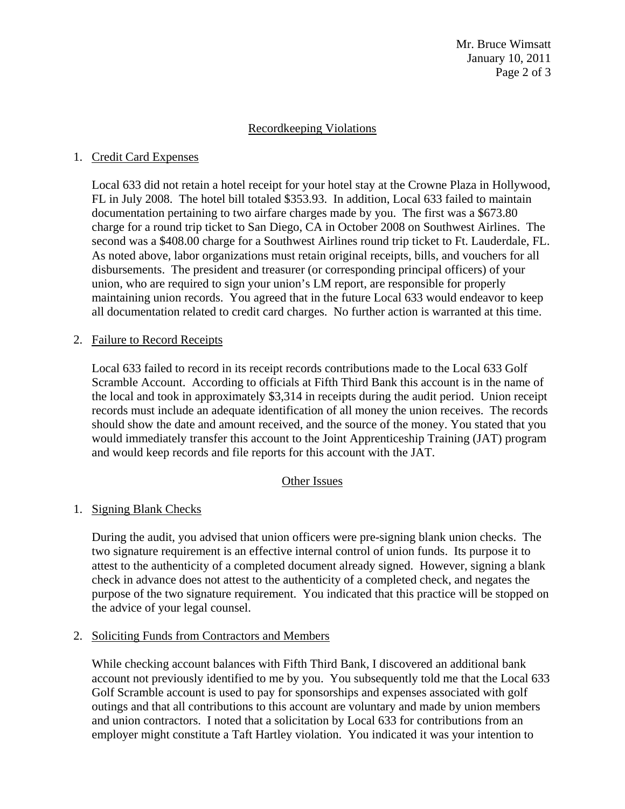Mr. Bruce Wimsatt January 10, 2011 Page 2 of 3

## Recordkeeping Violations

## 1. Credit Card Expenses

Local 633 did not retain a hotel receipt for your hotel stay at the Crowne Plaza in Hollywood, FL in July 2008. The hotel bill totaled \$353.93. In addition, Local 633 failed to maintain documentation pertaining to two airfare charges made by you. The first was a \$673.80 charge for a round trip ticket to San Diego, CA in October 2008 on Southwest Airlines. The second was a \$408.00 charge for a Southwest Airlines round trip ticket to Ft. Lauderdale, FL. As noted above, labor organizations must retain original receipts, bills, and vouchers for all disbursements. The president and treasurer (or corresponding principal officers) of your union, who are required to sign your union's LM report, are responsible for properly maintaining union records. You agreed that in the future Local 633 would endeavor to keep all documentation related to credit card charges. No further action is warranted at this time.

## 2. Failure to Record Receipts

Local 633 failed to record in its receipt records contributions made to the Local 633 Golf Scramble Account. According to officials at Fifth Third Bank this account is in the name of the local and took in approximately \$3,314 in receipts during the audit period. Union receipt records must include an adequate identification of all money the union receives. The records should show the date and amount received, and the source of the money. You stated that you would immediately transfer this account to the Joint Apprenticeship Training (JAT) program and would keep records and file reports for this account with the JAT.

### Other Issues

# 1. Signing Blank Checks

During the audit, you advised that union officers were pre-signing blank union checks. The two signature requirement is an effective internal control of union funds. Its purpose it to attest to the authenticity of a completed document already signed. However, signing a blank check in advance does not attest to the authenticity of a completed check, and negates the purpose of the two signature requirement. You indicated that this practice will be stopped on the advice of your legal counsel.

### 2. Soliciting Funds from Contractors and Members

While checking account balances with Fifth Third Bank, I discovered an additional bank account not previously identified to me by you. You subsequently told me that the Local 633 Golf Scramble account is used to pay for sponsorships and expenses associated with golf outings and that all contributions to this account are voluntary and made by union members and union contractors. I noted that a solicitation by Local 633 for contributions from an employer might constitute a Taft Hartley violation. You indicated it was your intention to